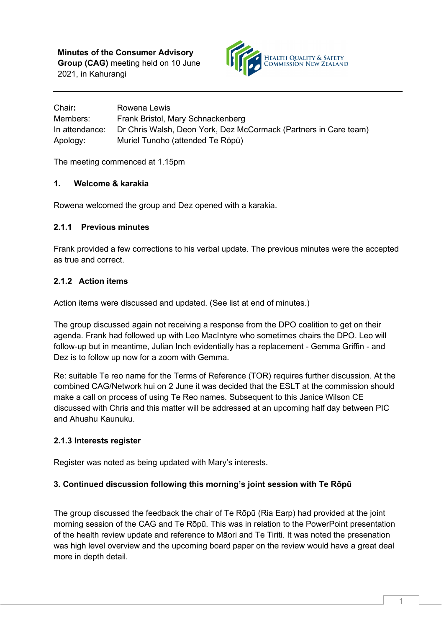

| Chair:         | Rowena Lewis                                                     |
|----------------|------------------------------------------------------------------|
| Members:       | Frank Bristol, Mary Schnackenberg                                |
| In attendance: | Dr Chris Walsh, Deon York, Dez McCormack (Partners in Care team) |
| Apology:       | Muriel Tunoho (attended Te Rōpū)                                 |

The meeting commenced at 1.15pm

# **1. Welcome & karakia**

Rowena welcomed the group and Dez opened with a karakia.

## **2.1.1 Previous minutes**

Frank provided a few corrections to his verbal update. The previous minutes were the accepted as true and correct.

# **2.1.2 Action items**

Action items were discussed and updated. (See list at end of minutes.)

The group discussed again not receiving a response from the DPO coalition to get on their agenda. Frank had followed up with Leo MacIntyre who sometimes chairs the DPO. Leo will follow-up but in meantime, Julian Inch evidentially has a replacement - Gemma Griffin - and Dez is to follow up now for a zoom with Gemma.

Re: suitable Te reo name for the Terms of Reference (TOR) requires further discussion. At the combined CAG/Network hui on 2 June it was decided that the ESLT at the commission should make a call on process of using Te Reo names. Subsequent to this Janice Wilson CE discussed with Chris and this matter will be addressed at an upcoming half day between PIC and Ahuahu Kaunuku.

# **2.1.3 Interests register**

Register was noted as being updated with Mary's interests.

# **3. Continued discussion following this morning's joint session with Te Rōpū**

The group discussed the feedback the chair of Te Rōpū (Ria Earp) had provided at the joint morning session of the CAG and Te Rōpū. This was in relation to the PowerPoint presentation of the health review update and reference to Māori and Te Tiriti. It was noted the presenation was high level overview and the upcoming board paper on the review would have a great deal more in depth detail.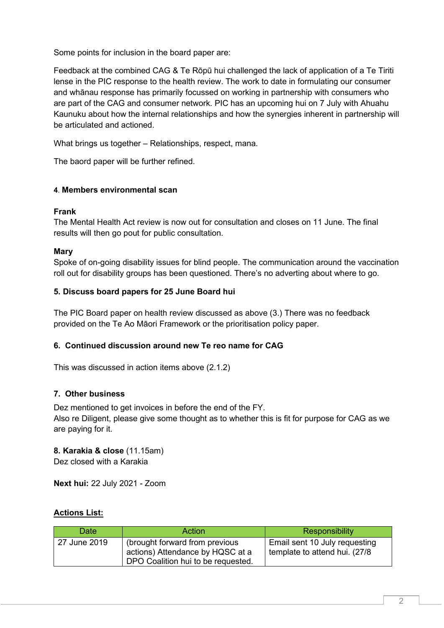Some points for inclusion in the board paper are:

Feedback at the combined CAG & Te Rōpū hui challenged the lack of application of a Te Tiriti lense in the PIC response to the health review. The work to date in formulating our consumer and whānau response has primarily focussed on working in partnership with consumers who are part of the CAG and consumer network. PIC has an upcoming hui on 7 July with Ahuahu Kaunuku about how the internal relationships and how the synergies inherent in partnership will be articulated and actioned.

What brings us together – Relationships, respect, mana.

The baord paper will be further refined.

## **4**. **Members environmental scan**

## **Frank**

The Mental Health Act review is now out for consultation and closes on 11 June. The final results will then go pout for public consultation.

## **Mary**

Spoke of on-going disability issues for blind people. The communication around the vaccination roll out for disability groups has been questioned. There's no adverting about where to go.

## **5. Discuss board papers for 25 June Board hui**

The PIC Board paper on health review discussed as above (3.) There was no feedback provided on the Te Ao Māori Framework or the prioritisation policy paper.

# **6. Continued discussion around new Te reo name for CAG**

This was discussed in action items above (2.1.2)

# **7. Other business**

Dez mentioned to get invoices in before the end of the FY. Also re Diligent, please give some thought as to whether this is fit for purpose for CAG as we are paying for it.

# **8. Karakia & close** (11.15am)

Dez closed with a Karakia

**Next hui:** 22 July 2021 - Zoom

# **Actions List:**

| Date         | <b>Action</b>                                                                                            | Responsibility                                                  |
|--------------|----------------------------------------------------------------------------------------------------------|-----------------------------------------------------------------|
| 27 June 2019 | (brought forward from previous<br>actions) Attendance by HQSC at a<br>DPO Coalition hui to be requested. | Email sent 10 July requesting<br>template to attend hui. (27/8) |